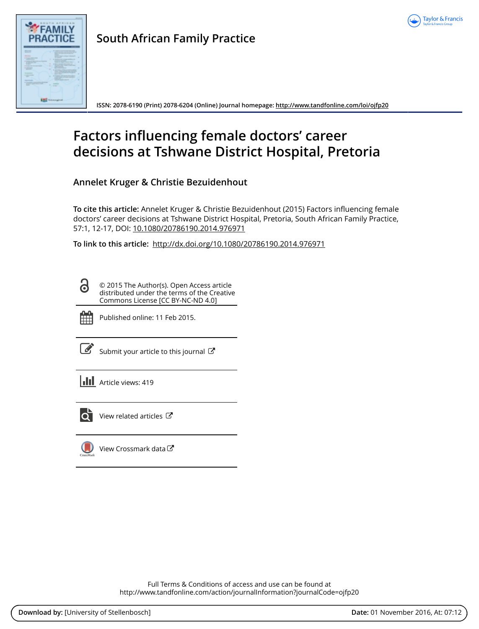



**ISSN: 2078-6190 (Print) 2078-6204 (Online) Journal homepage:<http://www.tandfonline.com/loi/ojfp20>**

# **Factors influencing female doctors' career decisions at Tshwane District Hospital, Pretoria**

**Annelet Kruger & Christie Bezuidenhout**

**To cite this article:** Annelet Kruger & Christie Bezuidenhout (2015) Factors influencing female doctors' career decisions at Tshwane District Hospital, Pretoria, South African Family Practice, 57:1, 12-17, DOI: [10.1080/20786190.2014.976971](http://www.tandfonline.com/action/showCitFormats?doi=10.1080/20786190.2014.976971)

**To link to this article:** <http://dx.doi.org/10.1080/20786190.2014.976971>

© 2015 The Author(s). Open Access article distributed under the terms of the Creative Commons License [CC BY-NC-ND 4.0]



ര

Published online: 11 Feb 2015.

[Submit your article to this journal](http://www.tandfonline.com/action/authorSubmission?journalCode=ojfp20&show=instructions)  $\mathbb{Z}$ 





[View related articles](http://www.tandfonline.com/doi/mlt/10.1080/20786190.2014.976971)  $\mathbb{Z}$ 

[View Crossmark data](http://crossmark.crossref.org/dialog/?doi=10.1080/20786190.2014.976971&domain=pdf&date_stamp=2015-02-11)

Full Terms & Conditions of access and use can be found at <http://www.tandfonline.com/action/journalInformation?journalCode=ojfp20>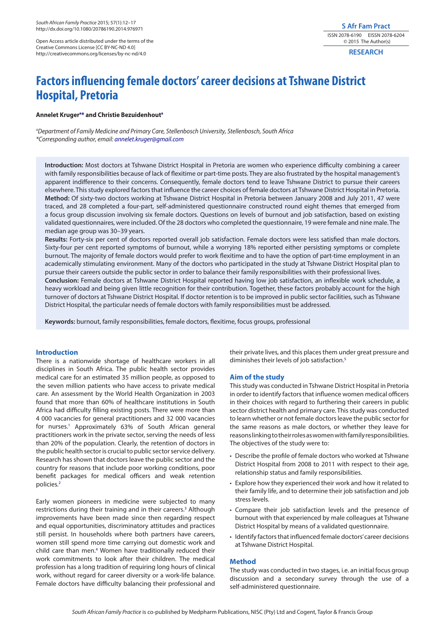Open Access article distributed under the terms of the Creative Commons License [CC BY-NC-ND 4.0] http://creativecommons.org/licenses/by-nc-nd/4.0

## **S Afr Fam Pract** ISSN 2078-6190 EISSN 2078-6204 © 2015 The Author(s)

**RESEARCH**

## **Factors influencing female doctors' career decisions at Tshwane District Hospital, Pretoria**

## **Annelet Kruge[ra](#page-1-0) [\\*](#page-1-1) and Christie Bezuidenhout[a](#page-1-0)**

<span id="page-1-1"></span><span id="page-1-0"></span>*a Department of Family Medicine and Primary Care, Stellenbosch University, Stellenbosch, South Africa \*Corresponding author, email: [annelet.kruger@gmail.com](mailto:annelet.kruger@gmail.com)*

**Introduction:** Most doctors at Tshwane District Hospital in Pretoria are women who experience difficulty combining a career with family responsibilities because of lack of flexitime or part-time posts. They are also frustrated by the hospital management's apparent indifference to their concerns. Consequently, female doctors tend to leave Tshwane District to pursue their careers elsewhere. This study explored factors that influence the career choices of female doctors at Tshwane District Hospital in Pretoria. **Method:** Of sixty-two doctors working at Tshwane District Hospital in Pretoria between January 2008 and July 2011, 47 were traced, and 28 completed a four-part, self-administered questionnaire constructed round eight themes that emerged from a focus group discussion involving six female doctors. Questions on levels of burnout and job satisfaction, based on existing validated questionnaires, were included. Of the 28 doctors who completed the questionnaire, 19 were female and nine male. The median age group was 30–39 years.

**Results:** Forty-six per cent of doctors reported overall job satisfaction. Female doctors were less satisfied than male doctors. Sixty-four per cent reported symptoms of burnout, while a worrying 18% reported either persisting symptoms or complete burnout. The majority of female doctors would prefer to work flexitime and to have the option of part-time employment in an academically stimulating environment. Many of the doctors who participated in the study at Tshwane District Hospital plan to pursue their careers outside the public sector in order to balance their family responsibilities with their professional lives.

**Conclusion:** Female doctors at Tshwane District Hospital reported having low job satisfaction, an inflexible work schedule, a heavy workload and being given little recognition for their contribution. Together, these factors probably account for the high turnover of doctors at Tshwane District Hospital. If doctor retention is to be improved in public sector facilities, such as Tshwane District Hospital, the particular needs of female doctors with family responsibilities must be addressed.

**Keywords:** burnout, family responsibilities, female doctors, flexitime, focus groups, professional

## **Introduction**

There is a nationwide shortage of healthcare workers in all disciplines in South Africa. The public health sector provides medical care for an estimated 35 million people, as opposed to the seven million patients who have access to private medical care. An assessment by the World Health Organization in 2003 found that more than 60% of healthcare institutions in South Africa had difficulty filling existing posts. There were more than 4 000 vacancies for general practitioners and 32 000 vacancies for nurses[.1](#page-6-0) Approximately 63% of South African general practitioners work in the private sector, serving the needs of less than 20% of the population. Clearly, the retention of doctors in the public health sector is crucial to public sector service delivery. Research has shown that doctors leave the public sector and the country for reasons that include poor working conditions, poor benefit packages for medical officers and weak retention policies[.2](#page-6-1)

Early women pioneers in medicine were subjected to many restrictions during their training and in their careers.<sup>3</sup> Although improvements have been made since then regarding respect and equal opportunities, discriminatory attitudes and practices still persist. In households where both partners have careers, women still spend more time carrying out domestic work and child care than men[.4](#page-6-3) Women have traditionally reduced their work commitments to look after their children. The medical profession has a long tradition of requiring long hours of clinical work, without regard for career diversity or a work-life balance. Female doctors have difficulty balancing their professional and

their private lives, and this places them under great pressure and diminishes their levels of job satisfaction.<sup>[5](#page-6-4)</sup>

## **Aim of the study**

This study was conducted in Tshwane District Hospital in Pretoria in order to identify factors that influence women medical officers in their choices with regard to furthering their careers in public sector district health and primary care. This study was conducted to learn whether or not female doctors leave the public sector for the same reasons as male doctors, or whether they leave for reasons linking to their roles as women with family responsibilities. The objectives of the study were to:

- Describe the profile of female doctors who worked at Tshwane District Hospital from 2008 to 2011 with respect to their age, relationship status and family responsibilities.
- Explore how they experienced their work and how it related to their family life, and to determine their job satisfaction and job stress levels.
- Compare their job satisfaction levels and the presence of burnout with that experienced by male colleagues at Tshwane District Hospital by means of a validated questionnaire.
- Identify factors that influenced female doctors' career decisions at Tshwane District Hospital.

## **Method**

The study was conducted in two stages, i.e. an initial focus group discussion and a secondary survey through the use of a self-administered questionnaire.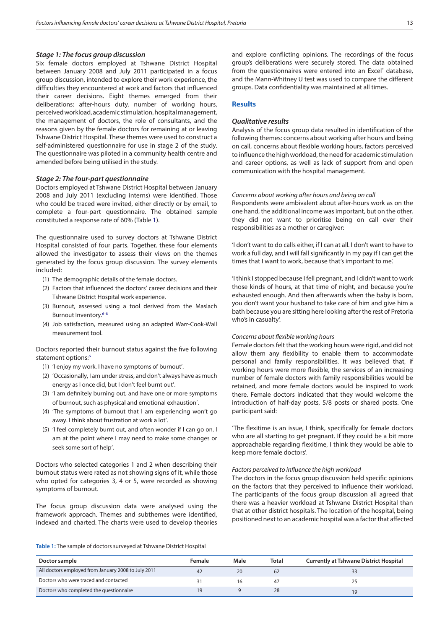## *Stage 1: The focus group discussion*

Six female doctors employed at Tshwane District Hospital between January 2008 and July 2011 participated in a focus group discussion, intended to explore their work experience, the difficulties they encountered at work and factors that influenced their career decisions. Eight themes emerged from their deliberations: after-hours duty, number of working hours, perceived workload, academic stimulation, hospital management, the management of doctors, the role of consultants, and the reasons given by the female doctors for remaining at or leaving Tshwane District Hospital. These themes were used to construct a self-administered questionnaire for use in stage 2 of the study. The questionnaire was piloted in a community health centre and amended before being utilised in the study.

#### *Stage 2: The four-part questionnaire*

Doctors employed at Tshwane District Hospital between January 2008 and July 2011 (excluding interns) were identified. Those who could be traced were invited, either directly or by email, to complete a four-part questionnaire. The obtained sample constituted a response rate of 60% (Table [1](#page-2-0)).

The questionnaire used to survey doctors at Tshwane District Hospital consisted of four parts. Together, these four elements allowed the investigator to assess their views on the themes generated by the focus group discussion. The survey elements included:

- (1) The demographic details of the female doctors.
- (2) Factors that influenced the doctors' career decisions and their Tshwane District Hospital work experience.
- (3) Burnout, assessed using a tool derived from the Maslach Burnout Inventory.<sup>[6](#page-6-5)-[8](#page-6-6)</sup>
- (4) Job satisfaction, measured using an adapted Warr-Cook-Wall measurement tool.

Doctors reported their burnout status against the five following statement options:[6](#page-6-5)

- (1) 'I enjoy my work. I have no symptoms of burnout'.
- (2) 'Occasionally, I am under stress, and don't always have as much energy as I once did, but I don't feel burnt out'.
- (3) 'I am definitely burning out, and have one or more symptoms of burnout, such as physical and emotional exhaustion'.
- (4) 'The symptoms of burnout that I am experiencing won't go away. I think about frustration at work a lot'.
- (5) 'I feel completely burnt out, and often wonder if I can go on. I am at the point where I may need to make some changes or seek some sort of help'.

Doctors who selected categories 1 and 2 when describing their burnout status were rated as not showing signs of it, while those who opted for categories 3, 4 or 5, were recorded as showing symptoms of burnout.

The focus group discussion data were analysed using the framework approach. Themes and subthemes were identified, indexed and charted. The charts were used to develop theories and explore conflicting opinions. The recordings of the focus group's deliberations were securely stored. The data obtained from the questionnaires were entered into an Excel<sup>®</sup> database, and the Mann-Whitney U test was used to compare the different groups. Data confidentiality was maintained at all times.

## **Results**

## *Qualitative results*

Analysis of the focus group data resulted in identification of the following themes: concerns about working after hours and being on call, concerns about flexible working hours, factors perceived to influence the high workload, the need for academic stimulation and career options, as well as lack of support from and open communication with the hospital management.

#### *Concerns about working after hours and being on call*

Respondents were ambivalent about after-hours work as on the one hand, the additional income was important, but on the other, they did not want to prioritise being on call over their responsibilities as a mother or caregiver:

'I don't want to do calls either, if I can at all. I don't want to have to work a full day, and I will fall significantly in my pay if I can get the times that I want to work, because that's important to me'.

'I think I stopped because I fell pregnant, and I didn't want to work those kinds of hours, at that time of night, and because you're exhausted enough. And then afterwards when the baby is born, you don't want your husband to take care of him and give him a bath because you are sitting here looking after the rest of Pretoria who's in casualty'.

#### *Concerns about flexible working hours*

Female doctors felt that the working hours were rigid, and did not allow them any flexibility to enable them to accommodate personal and family responsibilities. It was believed that, if working hours were more flexible, the services of an increasing number of female doctors with family responsibilities would be retained, and more female doctors would be inspired to work there. Female doctors indicated that they would welcome the introduction of half-day posts, 5/8 posts or shared posts. One participant said:

'The flexitime is an issue, I think, specifically for female doctors who are all starting to get pregnant. If they could be a bit more approachable regarding flexitime, I think they would be able to keep more female doctors'.

#### *Factors perceived to influence the high workload*

The doctors in the focus group discussion held specific opinions on the factors that they perceived to influence their workload. The participants of the focus group discussion all agreed that there was a heavier workload at Tshwane District Hospital than that at other district hospitals. The location of the hospital, being positioned next to an academic hospital was a factor that affected

#### <span id="page-2-0"></span>**Table 1:** The sample of doctors surveyed at Tshwane District Hospital

| Doctor sample                                       | Female | Male | Total | <b>Currently at Tshwane District Hospital</b> |
|-----------------------------------------------------|--------|------|-------|-----------------------------------------------|
| All doctors employed from January 2008 to July 2011 | 42     | 20   | 62    |                                               |
| Doctors who were traced and contacted               |        |      |       |                                               |
| Doctors who completed the questionnaire             | 19     |      | 28    |                                               |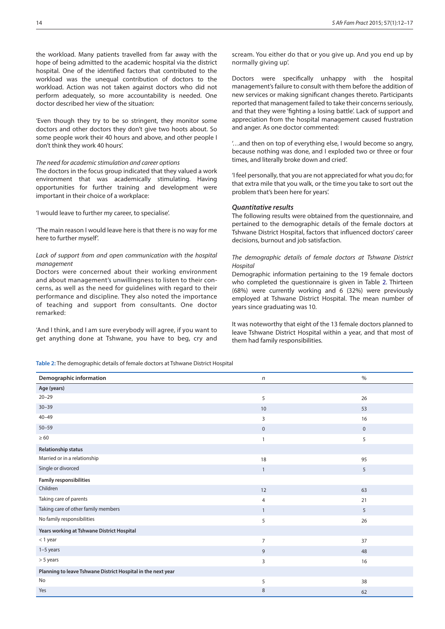the workload. Many patients travelled from far away with the hope of being admitted to the academic hospital via the district hospital. One of the identified factors that contributed to the workload was the unequal contribution of doctors to the workload. Action was not taken against doctors who did not perform adequately, so more accountability is needed. One doctor described her view of the situation:

'Even though they try to be so stringent, they monitor some doctors and other doctors they don't give two hoots about. So some people work their 40 hours and above, and other people I don't think they work 40 hours'.

#### *The need for academic stimulation and career options*

The doctors in the focus group indicated that they valued a work environment that was academically stimulating. Having opportunities for further training and development were important in their choice of a workplace:

'I would leave to further my career, to specialise'.

'The main reason I would leave here is that there is no way for me here to further myself'.

## *Lack of support from and open communication with the hospital management*

Doctors were concerned about their working environment and about management's unwillingness to listen to their concerns, as well as the need for guidelines with regard to their performance and discipline. They also noted the importance of teaching and support from consultants. One doctor remarked:

'And I think, and I am sure everybody will agree, if you want to get anything done at Tshwane, you have to beg, cry and scream. You either do that or you give up. And you end up by normally giving up'.

Doctors were specifically unhappy with the hospital management's failure to consult with them before the addition of new services or making significant changes thereto. Participants reported that management failed to take their concerns seriously, and that they were 'fighting a losing battle'. Lack of support and appreciation from the hospital management caused frustration and anger. As one doctor commented:

'…and then on top of everything else, I would become so angry, because nothing was done, and I exploded two or three or four times, and literally broke down and cried'.

'I feel personally, that you are not appreciated for what you do; for that extra mile that you walk, or the time you take to sort out the problem that's been here for years'.

## *Quantitative results*

The following results were obtained from the questionnaire, and pertained to the demographic details of the female doctors at Tshwane District Hospital, factors that influenced doctors' career decisions, burnout and job satisfaction.

## *The demographic details of female doctors at Tshwane District Hospital*

Demographic information pertaining to the 19 female doctors who completed the questionnaire is given in Table [2](#page-3-0). Thirteen (68%) were currently working and 6 (32%) were previously employed at Tshwane District Hospital. The mean number of years since graduating was 10.

It was noteworthy that eight of the 13 female doctors planned to leave Tshwane District Hospital within a year, and that most of them had family responsibilities.

<span id="page-3-0"></span>**Table 2:** The demographic details of female doctors at Tshwane District Hospital

| Demographic information                                      | $\boldsymbol{n}$ | $\%$         |
|--------------------------------------------------------------|------------------|--------------|
| Age (years)                                                  |                  |              |
| $20 - 29$                                                    | 5                | 26           |
| $30 - 39$                                                    | 10               | 53           |
| $40 - 49$                                                    | 3                | 16           |
| $50 - 59$                                                    | $\mathbf 0$      | $\mathbf{0}$ |
| $\geq 60$                                                    | 1                | 5            |
| <b>Relationship status</b>                                   |                  |              |
| Married or in a relationship                                 | 18               | 95           |
| Single or divorced                                           | $\mathbf{1}$     | 5            |
| <b>Family responsibilities</b>                               |                  |              |
| Children                                                     | 12               | 63           |
| Taking care of parents                                       | $\overline{4}$   | 21           |
| Taking care of other family members                          | $\mathbf{1}$     | 5            |
| No family responsibilities                                   | 5                | 26           |
| Years working at Tshwane District Hospital                   |                  |              |
| $<$ 1 year                                                   | $\overline{7}$   | 37           |
| $1-5$ years                                                  | 9                | 48           |
| > 5 years                                                    | 3                | 16           |
| Planning to leave Tshwane District Hospital in the next year |                  |              |
| <b>No</b>                                                    | 5                | 38           |
| Yes                                                          | 8                | 62           |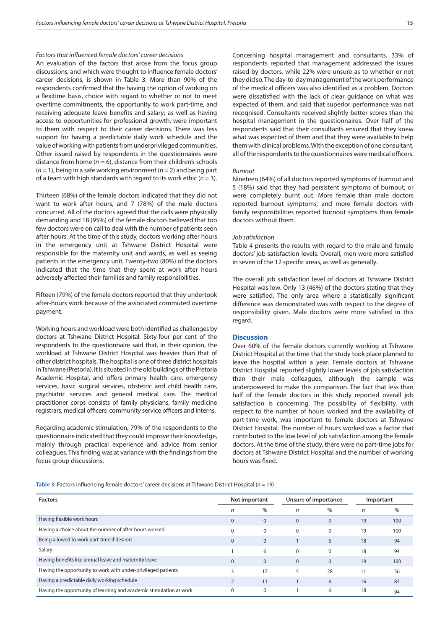## *Factors that influenced female doctors' career decisions*

An evaluation of the factors that arose from the focus group discussions, and which were thought to influence female doctors' career decisions, is shown in Table [3.](#page-4-0) More than 90% of the respondents confirmed that the having the option of working on a flexitime basis, choice with regard to whether or not to meet overtime commitments, the opportunity to work part-time, and receiving adequate leave benefits and salary; as well as having access to opportunities for professional growth, were important to them with respect to their career decisions. There was less support for having a predictable daily work schedule and the value of working with patients from underprivileged communities. Other issued raised by respondents in the questionnaires were distance from home  $(n = 6)$ , distance from their children's schools  $(n = 1)$ , being in a safe working environment  $(n = 2)$  and being part of a team with high standards with regard to its work ethic  $(n = 3)$ .

Thirteen (68%) of the female doctors indicated that they did not want to work after hours, and 7 (78%) of the male doctors concurred. All of the doctors agreed that the calls were physically demanding and 18 (95%) of the female doctors believed that too few doctors were on call to deal with the number of patients seen after hours. At the time of this study, doctors working after hours in the emergency unit at Tshwane District Hospital were responsible for the maternity unit and wards, as well as seeing patients in the emergency unit. Twenty-two (80%) of the doctors indicated that the time that they spent at work after hours adversely affected their families and family responsibilities.

Fifteen (79%) of the female doctors reported that they undertook after-hours work because of the associated commuted overtime payment.

Working hours and workload were both identified as challenges by doctors at Tshwane District Hospital. Sixty-four per cent of the respondents to the questionnaire said that, in their opinion, the workload at Tshwane District Hospital was heavier than that of other district hospitals. The hospital is one of three district hospitals in Tshwane (Pretoria). It is situated in the old buildings of the Pretoria Academic Hospital, and offers primary health care, emergency services, basic surgical services, obstetric and child health care, psychiatric services and general medical care. The medical practitioner corps consists of family physicians, family medicine registrars, medical officers, community service officers and interns.

Regarding academic stimulation, 79% of the respondents to the questionnaire indicated that they could improve their knowledge, mainly through practical experience and advice from senior colleagues. This finding was at variance with the findings from the focus group discussions.

Concerning hospital management and consultants, 33% of respondents reported that management addressed the issues raised by doctors, while 22% were unsure as to whether or not they did so. The day-to-day management of the work performance of the medical officers was also identified as a problem. Doctors were dissatisfied with the lack of clear guidance on what was expected of them, and said that superior performance was not recognised. Consultants received slightly better scores than the hospital management in the questionnaires. Over half of the respondents said that their consultants ensured that they knew what was expected of them and that they were available to help them with clinical problems. With the exception of one consultant, all of the respondents to the questionnaires were medical officers.

#### *Burnout*

Nineteen (64%) of all doctors reported symptoms of burnout and 5 (18%) said that they had persistent symptoms of burnout, or were completely burnt out. More female than male doctors reported burnout symptoms, and more female doctors with family responsibilities reported burnout symptoms than female doctors without them.

## *Job satisfaction*

Table [4](#page-5-0) presents the results with regard to the male and female doctors' job satisfaction levels. Overall, men were more satisfied in seven of the 12 specific areas, as well as generally.

The overall job satisfaction level of doctors at Tshwane District Hospital was low. Only 13 (46%) of the doctors stating that they were satisfied. The only area where a statistically significant difference was demonstrated was with respect to the degree of responsibility given. Male doctors were more satisfied in this regard.

## **Discussion**

Over 60% of the female doctors currently working at Tshwane District Hospital at the time that the study took place planned to leave the hospital within a year. Female doctors at Tshwane District Hospital reported slightly lower levels of job satisfaction than their male colleagues, although the sample was underpowered to make this comparison. The fact that less than half of the female doctors in this study reported overall job satisfaction is concerning. The possibility of flexibility, with respect to the number of hours worked and the availability of part-time work, was important to female doctors at Tshwane District Hospital. The number of hours worked was a factor that contributed to the low level of job satisfaction among the female doctors. At the time of the study, there were no part-time jobs for doctors at Tshwane District Hospital and the number of working hours was fixed.

<span id="page-4-0"></span>**Table 3:** Factors influencing female doctors' career decisions at Tshwane District Hospital (*n* = *19*)

| <b>Factors</b>                                                      | Not important |              | Unsure of importance |              | Important |      |
|---------------------------------------------------------------------|---------------|--------------|----------------------|--------------|-----------|------|
|                                                                     | n             | $\%$         | n                    | $\%$         | n         | $\%$ |
| Having flexible work hours                                          | $\Omega$      | $\mathbf{0}$ | $\Omega$             | $\mathbf{0}$ | 19        | 100  |
| Having a choice about the number of after hours worked              |               | 0            | $\Omega$             | 0            | 19        | 100  |
| Being allowed to work part-time if desired                          | $\Omega$      | $\Omega$     |                      | 6            | 18        | 94   |
| Salary                                                              |               | 6            | $\Omega$             | $\Omega$     | 18        | 94   |
| Having benefits like annual leave and maternity leave               |               | $\Omega$     | $\Omega$             | $\mathbf{0}$ | 19        | 100  |
| Having the opportunity to work with under-privileged patients       |               | 17           | 5                    | 28           | 11        | 56   |
| Having a predictable daily working schedule                         |               | 11           |                      | 6            | 16        | 83   |
| Having the opportunity of learning and academic stimulation at work | $\Omega$      | $\Omega$     |                      | 6            | 18        | 94   |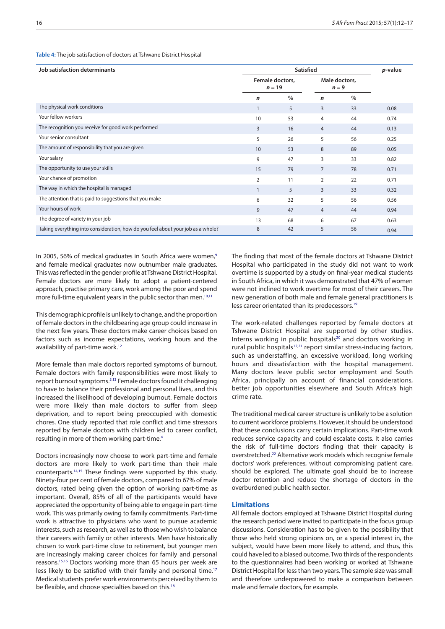## <span id="page-5-0"></span>**Table 4:** The job satisfaction of doctors at Tshwane District Hospital

| Job satisfaction determinants                                                    |                             | p-value |                          |      |      |
|----------------------------------------------------------------------------------|-----------------------------|---------|--------------------------|------|------|
|                                                                                  | Female doctors,<br>$n = 19$ |         | Male doctors,<br>$n = 9$ |      |      |
|                                                                                  | $\mathbf n$                 | $\%$    | $\mathbf n$              | $\%$ |      |
| The physical work conditions                                                     |                             | 5       | 3                        | 33   | 0.08 |
| Your fellow workers                                                              | 10                          | 53      | 4                        | 44   | 0.74 |
| The recognition you receive for good work performed                              | 3                           | 16      | 4                        | 44   | 0.13 |
| Your senior consultant                                                           | 5                           | 26      | 5                        | 56   | 0.25 |
| The amount of responsibility that you are given                                  | 10                          | 53      | 8                        | 89   | 0.05 |
| Your salary                                                                      | 9                           | 47      | 3                        | 33   | 0.82 |
| The opportunity to use your skills                                               | 15                          | 79      | 7                        | 78   | 0.71 |
| Your chance of promotion                                                         | $\overline{2}$              | 11      | $\overline{2}$           | 22   | 0.71 |
| The way in which the hospital is managed                                         | $\overline{1}$              | 5       | 3                        | 33   | 0.32 |
| The attention that is paid to suggestions that you make                          | 6                           | 32      | 5                        | 56   | 0.56 |
| Your hours of work                                                               | 9                           | 47      | 4                        | 44   | 0.94 |
| The degree of variety in your job                                                | 13                          | 68      | 6                        | 67   | 0.63 |
| Taking everything into consideration, how do you feel about your job as a whole? | 8                           | 42      | 5                        | 56   | 0.94 |

In 2005, 56% of medical graduates in South Africa were women,<sup>[9](#page-6-12)</sup> and female medical graduates now outnumber male graduates. This was reflected in the gender profile at Tshwane District Hospital. Female doctors are more likely to adopt a patient-centered approach, practise primary care, work among the poor and spend more full-time equivalent years in the public sector than men.<sup>[10](#page-6-13)[,11](#page-6-14)</sup>

This demographic profile is unlikely to change, and the proportion of female doctors in the childbearing age group could increase in the next few years. These doctors make career choices based on factors such as income expectations, working hours and the availability of part-time work.[12](#page-6-9)

More female than male doctors reported symptoms of burnout. Female doctors with family responsibilities were most likely to report burnout symptoms.[5](#page-6-4)[,13](#page-6-15) Female doctors found it challenging to have to balance their professional and personal lives, and this increased the likelihood of developing burnout. Female doctors were more likely than male doctors to suffer from sleep deprivation, and to report being preoccupied with domestic chores. One study reported that role conflict and time stressors reported by female doctors with children led to career conflict, resulting in more of them working part-time[.4](#page-6-3)

Doctors increasingly now choose to work part-time and female doctors are more likely to work part-time than their male counterparts[.14,](#page-6-16)[15](#page-6-17) These findings were supported by this study. Ninety-four per cent of female doctors, compared to 67% of male doctors, rated being given the option of working part-time as important. Overall, 85% of all of the participants would have appreciated the opportunity of being able to engage in part-time work. This was primarily owing to family commitments. Part-time work is attractive to physicians who want to pursue academic interests, such as research, as well as to those who wish to balance their careers with family or other interests. Men have historically chosen to work part-time close to retirement, but younger men are increasingly making career choices for family and personal reasons.[15](#page-6-17)[,16](#page-6-18) Doctors working more than 65 hours per week are less likely to be satisfied with their family and personal time.<sup>17</sup> Medical students prefer work environments perceived by them to be flexible, and choose specialties based on this.<sup>18</sup>

The finding that most of the female doctors at Tshwane District Hospital who participated in the study did not want to work overtime is supported by a study on final-year medical students in South Africa, in which it was demonstrated that 47% of women were not inclined to work overtime for most of their careers. The new generation of both male and female general practitioners is less career orientated than its predecessors.<sup>[19](#page-6-7)</sup>

The work-related challenges reported by female doctors at Tshwane District Hospital are supported by other studies. Interns working in public hospitals<sup>20</sup> and doctors working in rural public hospitals<sup>[12](#page-6-9),21</sup> report similar stress-inducing factors, such as understaffing, an excessive workload, long working hours and dissatisfaction with the hospital management. Many doctors leave public sector employment and South Africa, principally on account of financial considerations, better job opportunities elsewhere and South Africa's high crime rate.

The traditional medical career structure is unlikely to be a solution to current workforce problems. However, it should be understood that these conclusions carry certain implications. Part-time work reduces service capacity and could escalate costs. It also carries the risk of full-time doctors finding that their capacity is overstretched.[22](#page-6-11) Alternative work models which recognise female doctors' work preferences, without compromising patient care, should be explored. The ultimate goal should be to increase doctor retention and reduce the shortage of doctors in the overburdened public health sector.

## **Limitations**

All female doctors employed at Tshwane District Hospital during the research period were invited to participate in the focus group discussions. Consideration has to be given to the possibility that those who held strong opinions on, or a special interest in, the subject, would have been more likely to attend, and thus, this could have led to a biased outcome. Two thirds of the respondents to the questionnaires had been working or worked at Tshwane District Hospital for less than two years. The sample size was small and therefore underpowered to make a comparison between male and female doctors, for example.